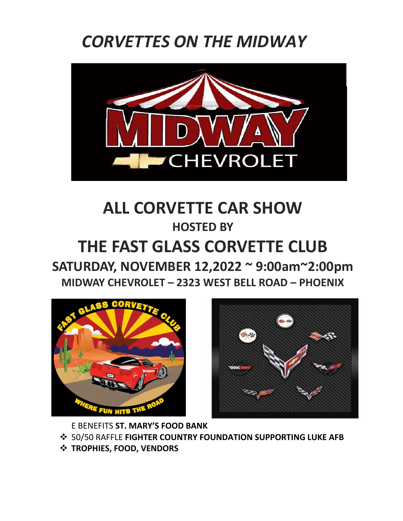## *CORVETTES ON THE MIDWAY*



## **ALL CORVETTE CAR SHOW HOSTED BY THE FAST GLASS CORVETTE CLUB**

**SATURDAY, NOVEMBER 12,2022 ~ 9:00am~2:00pm MIDWAY CHEVROLET – 2323 WEST BELL ROAD – PHOENIX**





E BENEFITS **ST. MARY'S FOOD BANK**

- 50/50 RAFFLE **FIGHTER COUNTRY FOUNDATION SUPPORTING LUKE AFB**
- **TROPHIES, FOOD, VENDORS**